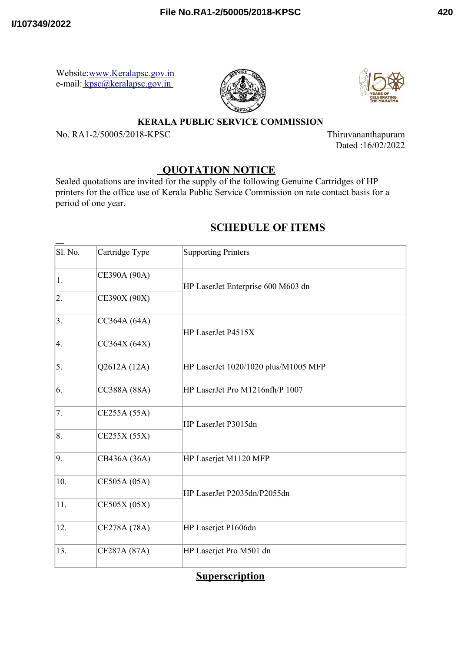Website[:www.Keralapsc.gov.in](file:////Uploads/EFILE/FileUploads/draftversion/pdf/www.Keralapsc.gov.in) e-mail: kpsc@keralapsc.gov.in





### **KERALA PUBLIC SERVICE COMMISSION**

No. RA1-2/50005/2018-KPSC Thiruvananthapuram

Dated :16/02/2022

## **QUOTATION NOTICE**

Sealed quotations are invited for the supply of the following Genuine Cartridges of HP printers for the office use of Kerala Public Service Commission on rate contact basis for a period of one year.

# Sl. No. Cartridge Type Supporting Printers  $\begin{bmatrix} \text{CE}390\text{A} & (90\text{A}) \\ 1 & 1 & 1 \end{bmatrix}$ HP LaserJet Enterprise 600 M603 dn  $|2.$  CE390X (90X) 3. CC364A (64A) HP LaserJet P4515X  $|4. \qquad \qquad$  CC364X (64X) 5. Q2612A (12A) HP LaserJet 1020/1020 plus/M1005 MFP 6. CC388A (88A) HP LaserJet Pro M1216nfh/P 1007  $7.$  CE255A (55A) HP LaserJet P3015dn  $\begin{array}{|l|}\n\hline\n 8. & \text{CE255X (55X)}\n\hline\n\end{array}$ 9. CB436A (36A) HP Laserjet M1120 MFP 10. CE505A (05A) HP LaserJet P2035dn/P2055dn 11.  $\qquad \qquad$  CE505X (05X) 12. CE278A (78A) HP Laserjet P1606dn 13. CF287A (87A) HP Laserjet Pro M501 dn

# **SCHEDULE OF ITEMS**

# **Superscription**